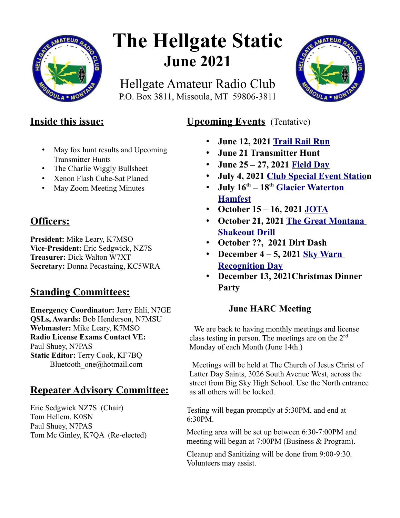

# **The Hellgate Static June 2021**

Hellgate Amateur Radio Club P.O. Box 3811, Missoula, MT 59806-3811



## **Inside this issue:**

- May fox hunt results and Upcoming Transmitter Hunts
- The Charlie Wiggly Bullsheet
- Xenon Flash Cube-Sat Planed
- May Zoom Meeting Minutes

## **Officers:**

**President:** Mike Leary, K7MSO **Vice-President:** Eric Sedgwick, NZ7S **Treasurer:** Dick Walton W7XT **Secretary:** Donna Pecastaing, KC5WRA

# **Standing Committees:**

**Emergency Coordinator:** Jerry Ehli, N7GE **QSLs, Awards:** Bob Henderson, N7MSU **Webmaster:** Mike Leary, K7MSO **Radio License Exams Contact VE:** Paul Shuey, N7PAS **Static Editor:** Terry Cook, KF7BQ Bluetooth\_one@hotmail.com

# **Repeater Advisory Committee:**

Eric Sedgwick NZ7S (Chair) Tom Hellem, K0SN Paul Shuey, N7PAS Tom Mc Ginley, K7QA (Re-elected)

## **Upcoming Events** (Tentative)

- **June 12, 2021 [Trail Rail Run](https://runsignup.com/Race/MT/StRegis/TrailRailRun)**
- **June 21 Transmitter Hunt**
- **June 25 27, 2021 [Field Day](https://www.w7px.org/meetings-and-events/#field-day)**
- **July 4, 2021 [Club Special Event Station](https://www.w7px.org/meetings-and-events/#fourth-of-july)**
- **July 16th 18th [Glacier Waterton](https://www.gwhamfest.org/)  [Hamfest](https://www.gwhamfest.org/)**
- **October 15 16, 2021 [JOTA](https://www.w7px.org/meetings-and-events/#jota)**
- **October 21, 2021 [The Great Montana](https://www.w7px.org/meetings-and-events/#shakeout)  [Shakeout Drill](https://www.w7px.org/meetings-and-events/#shakeout)**
- **October ??, 2021 Dirt Dash**
- **December 4 5, 2021 [Sky Warn](http://www.arrl.org/skywarn-recognition-day)  [Recognition Day](http://www.arrl.org/skywarn-recognition-day)**
- **December 13, 2021Christmas Dinner Party**

#### **June HARC Meeting**

We are back to having monthly meetings and license class testing in person. The meetings are on the  $2<sup>nd</sup>$ Monday of each Month (June 14th.)

Meetings will be held at The Church of Jesus Christ of Latter Day Saints, 3026 South Avenue West, across the street from Big Sky High School. Use the North entrance as all others will be locked.

Testing will began promptly at 5:30PM, and end at 6:30PM.

Meeting area will be set up between 6:30-7:00PM and meeting will began at 7:00PM (Business & Program).

Cleanup and Sanitizing will be done from 9:00-9:30. Volunteers may assist.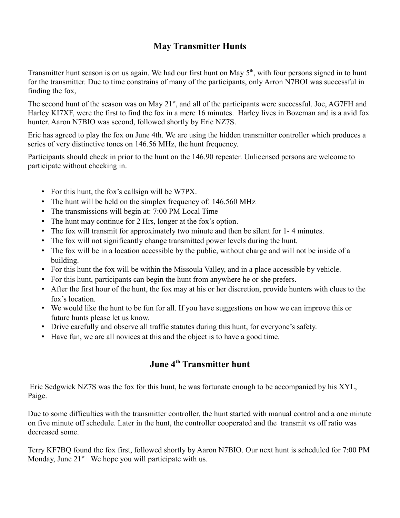#### **May Transmitter Hunts**

Transmitter hunt season is on us again. We had our first hunt on May  $5<sup>th</sup>$ , with four persons signed in to hunt for the transmitter. Due to time constrains of many of the participants, only Arron N7BOI was successful in finding the fox,

The second hunt of the season was on May 21<sup>st</sup>, and all of the participants were successful. Joe, AG7FH and Harley KI7XF, were the first to find the fox in a mere 16 minutes. Harley lives in Bozeman and is a avid fox hunter. Aaron N7BIO was second, followed shortly by Eric NZ7S.

Eric has agreed to play the fox on June 4th. We are using the hidden transmitter controller which produces a series of very distinctive tones on 146.56 MHz, the hunt frequency.

Participants should check in prior to the hunt on the 146.90 repeater. Unlicensed persons are welcome to participate without checking in.

- For this hunt, the fox's callsign will be W7PX.
- The hunt will be held on the simplex frequency of: 146.560 MHz
- The transmissions will begin at: 7:00 PM Local Time
- The hunt may continue for 2 Hrs, longer at the fox's option.
- The fox will transmit for approximately two minute and then be silent for 1- 4 minutes.
- The fox will not significantly change transmitted power levels during the hunt.
- The fox will be in a location accessible by the public, without charge and will not be inside of a building.
- For this hunt the fox will be within the Missoula Valley, and in a place accessible by vehicle.
- For this hunt, participants can begin the hunt from anywhere he or she prefers.
- After the first hour of the hunt, the fox may at his or her discretion, provide hunters with clues to the fox's location.
- We would like the hunt to be fun for all. If you have suggestions on how we can improve this or future hunts please let us know.
- Drive carefully and observe all traffic statutes during this hunt, for everyone's safety.
- Have fun, we are all novices at this and the object is to have a good time.

## **June 4th Transmitter hunt**

 Eric Sedgwick NZ7S was the fox for this hunt, he was fortunate enough to be accompanied by his XYL, Paige.

Due to some difficulties with the transmitter controller, the hunt started with manual control and a one minute on five minute off schedule. Later in the hunt, the controller cooperated and the transmit vs off ratio was decreased some.

Terry KF7BQ found the fox first, followed shortly by Aaron N7BIO. Our next hunt is scheduled for 7:00 PM Monday, June  $21^{st}$ . We hope you will participate with us.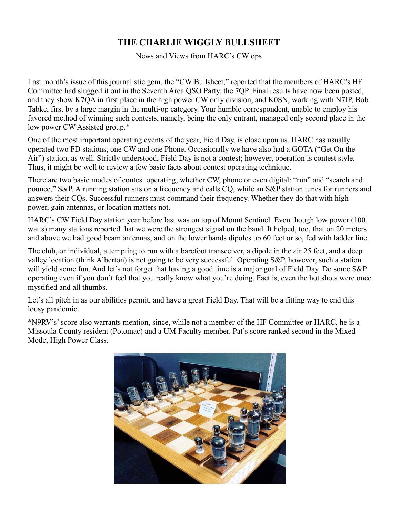### **THE CHARLIE WIGGLY BULLSHEET**

News and Views from HARC's CW ops

Last month's issue of this journalistic gem, the "CW Bullsheet," reported that the members of HARC's HF Committee had slugged it out in the Seventh Area QSO Party, the 7QP. Final results have now been posted, and they show K7QA in first place in the high power CW only division, and K0SN, working with N7IP, Bob Tabke, first by a large margin in the multi-op category. Your humble correspondent, unable to employ his favored method of winning such contests, namely, being the only entrant, managed only second place in the low power CW Assisted group.\*

One of the most important operating events of the year, Field Day, is close upon us. HARC has usually operated two FD stations, one CW and one Phone. Occasionally we have also had a GOTA ("Get On the Air") station, as well. Strictly understood, Field Day is not a contest; however, operation is contest style. Thus, it might be well to review a few basic facts about contest operating technique.

There are two basic modes of contest operating, whether CW, phone or even digital: "run" and "search and pounce," S&P. A running station sits on a frequency and calls CQ, while an S&P station tunes for runners and answers their CQs. Successful runners must command their frequency. Whether they do that with high power, gain antennas, or location matters not.

HARC's CW Field Day station year before last was on top of Mount Sentinel. Even though low power (100 watts) many stations reported that we were the strongest signal on the band. It helped, too, that on 20 meters and above we had good beam antennas, and on the lower bands dipoles up 60 feet or so, fed with ladder line.

The club, or individual, attempting to run with a barefoot transceiver, a dipole in the air 25 feet, and a deep valley location (think Alberton) is not going to be very successful. Operating S&P, however, such a station will yield some fun. And let's not forget that having a good time is a major goal of Field Day. Do some S&P operating even if you don't feel that you really know what you're doing. Fact is, even the hot shots were once mystified and all thumbs.

Let's all pitch in as our abilities permit, and have a great Field Day. That will be a fitting way to end this lousy pandemic.

\*N9RV's' score also warrants mention, since, while not a member of the HF Committee or HARC, he is a Missoula County resident (Potomac) and a UM Faculty member. Pat's score ranked second in the Mixed Mode, High Power Class.

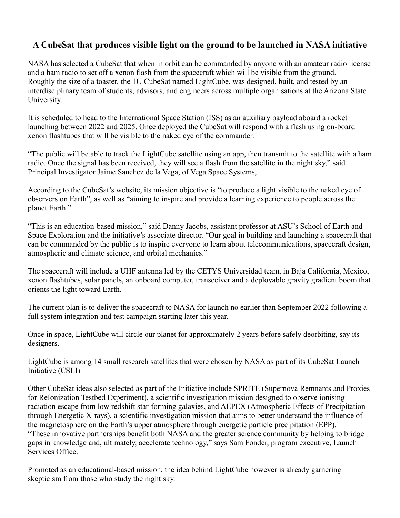#### **A CubeSat that produces visible light on the ground to be launched in NASA initiative**

NASA has selected a CubeSat that when in orbit can be commanded by anyone with an amateur radio license and a ham radio to set off a xenon flash from the spacecraft which will be visible from the ground. Roughly the size of a toaster, the 1U CubeSat named LightCube, was designed, built, and tested by an interdisciplinary team of students, advisors, and engineers across multiple organisations at the Arizona State University.

It is scheduled to head to the International Space Station (ISS) as an auxiliary payload aboard a rocket launching between 2022 and 2025. Once deployed the CubeSat will respond with a flash using on-board xenon flashtubes that will be visible to the naked eye of the commander.

"The public will be able to track the LightCube satellite using an app, then transmit to the satellite with a ham radio. Once the signal has been received, they will see a flash from the satellite in the night sky," said Principal Investigator Jaime Sanchez de la Vega, of Vega Space Systems,

According to the CubeSat's website, its mission objective is "to produce a light visible to the naked eye of observers on Earth", as well as "aiming to inspire and provide a learning experience to people across the planet Earth."

"This is an education-based mission," said Danny Jacobs, assistant professor at ASU's School of Earth and Space Exploration and the initiative's associate director. "Our goal in building and launching a spacecraft that can be commanded by the public is to inspire everyone to learn about telecommunications, spacecraft design, atmospheric and climate science, and orbital mechanics."

The spacecraft will include a UHF antenna led by the CETYS Universidad team, in Baja California, Mexico, xenon flashtubes, solar panels, an onboard computer, transceiver and a deployable gravity gradient boom that orients the light toward Earth.

The current plan is to deliver the spacecraft to NASA for launch no earlier than September 2022 following a full system integration and test campaign starting later this year.

Once in space, LightCube will circle our planet for approximately 2 years before safely deorbiting, say its designers.

LightCube is among 14 small research satellites that were chosen by NASA as part of its CubeSat Launch Initiative (CSLI)

Other CubeSat ideas also selected as part of the Initiative include SPRITE (Supernova Remnants and Proxies for ReIonization Testbed Experiment), a scientific investigation mission designed to observe ionising radiation escape from low redshift star-forming galaxies, and AEPEX (Atmospheric Effects of Precipitation through Energetic X-rays), a scientific investigation mission that aims to better understand the influence of the magnetosphere on the Earth's upper atmosphere through energetic particle precipitation (EPP). "These innovative partnerships benefit both NASA and the greater science community by helping to bridge gaps in knowledge and, ultimately, accelerate technology," says Sam Fonder, program executive, Launch Services Office.

Promoted as an educational-based mission, the idea behind LightCube however is already garnering skepticism from those who study the night sky.